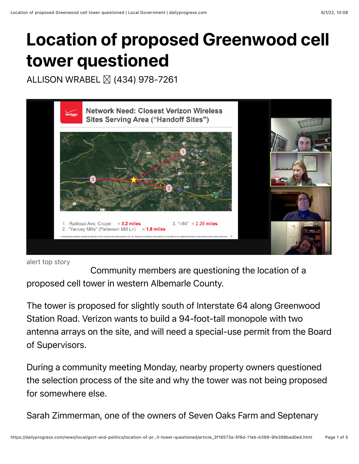## Location of proposed Greenwood cell tower questioned

ALLISON WRABEL **⊠ (434)** 978-7261



```
alert top story
```
Community members are questioning the location of a proposed cell tower in western Albemarle County.

The tower is proposed for slightly south of Interstate 64 along Greenwood Station Road. Verizon wants to build a 94-foot-tall monopole with two antenna arrays on the site, and will need a special-use permit from the Board of Supervisors.

During a community meeting Monday, nearby property owners questioned the selection process of the site and why the tower was not being proposed for somewhere else.

Sarah Zimmerman, one of the owners of Seven Oaks Farm and Septenary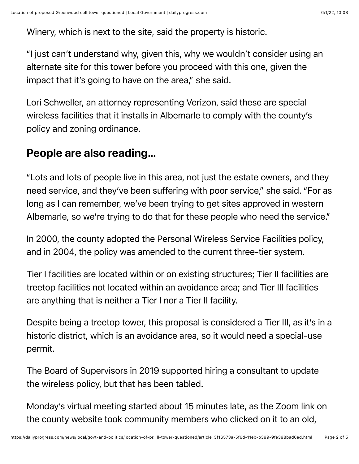Winery, which is next to the site, said the property is historic.

"I just can't understand why, given this, why we wouldn't consider using an alternate site for this tower before you proceed with this one, given the impact that it's going to have on the area," she said.

Lori Schweller, an attorney representing Verizon, said these are special wireless facilities that it installs in Albemarle to comply with the county's policy and zoning ordinance.

## People are also reading…

"Lots and lots of people live in this area, not just the estate owners, and they need service, and they've been suffering with poor service," she said. "For as long as I can remember, we've been trying to get sites approved in western Albemarle, so we're trying to do that for these people who need the service."

In 2000, the county adopted the Personal Wireless Service Facilities policy, and in 2004, the policy was amended to the current three-tier system.

Tier I facilities are located within or on existing structures; Tier II facilities are treetop facilities not located within an avoidance area; and Tier III facilities are anything that is neither a Tier I nor a Tier II facility.

Despite being a treetop tower, this proposal is considered a Tier III, as it's in a historic district, which is an avoidance area, so it would need a special-use permit.

The Board of Supervisors in 2019 supported hiring a consultant to update the wireless policy, but that has been tabled.

Monday's virtual meeting started about 15 minutes late, as the Zoom link on the county website took community members who clicked on it to an old,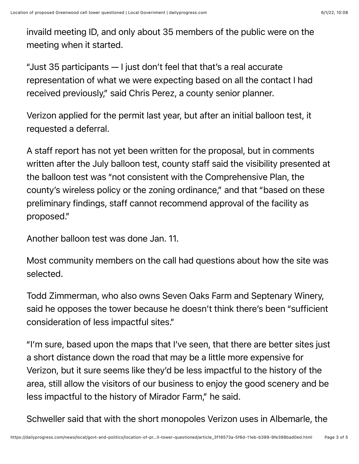invaild meeting ID, and only about 35 members of the public were on the meeting when it started.

"Just 35 participants — I just don't feel that that's a real accurate representation of what we were expecting based on all the contact I had received previously," said Chris Perez, a county senior planner.

Verizon applied for the permit last year, but after an initial balloon test, it requested a deferral.

A staff report has not yet been written for the proposal, but in comments written after the July balloon test, county staff said the visibility presented at the balloon test was "not consistent with the Comprehensive Plan, the county's wireless policy or the zoning ordinance," and that "based on these preliminary findings, staff cannot recommend approval of the facility as proposed."

Another balloon test was done Jan. 11.

Most community members on the call had questions about how the site was selected.

Todd Zimmerman, who also owns Seven Oaks Farm and Septenary Winery, said he opposes the tower because he doesn't think there's been "sufficient consideration of less impactful sites."

"I'm sure, based upon the maps that I've seen, that there are better sites just a short distance down the road that may be a little more expensive for Verizon, but it sure seems like they'd be less impactful to the history of the area, still allow the visitors of our business to enjoy the good scenery and be less impactful to the history of Mirador Farm," he said.

Schweller said that with the short monopoles Verizon uses in Albemarle, the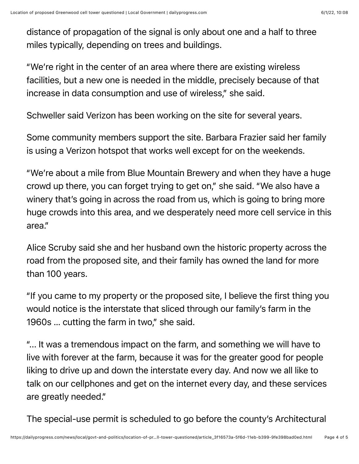distance of propagation of the signal is only about one and a half to three miles typically, depending on trees and buildings.

"We're right in the center of an area where there are existing wireless facilities, but a new one is needed in the middle, precisely because of that increase in data consumption and use of wireless," she said.

Schweller said Verizon has been working on the site for several years.

Some community members support the site. Barbara Frazier said her family is using a Verizon hotspot that works well except for on the weekends.

"We're about a mile from Blue Mountain Brewery and when they have a huge crowd up there, you can forget trying to get on," she said. "We also have a winery that's going in across the road from us, which is going to bring more huge crowds into this area, and we desperately need more cell service in this area."

Alice Scruby said she and her husband own the historic property across the road from the proposed site, and their family has owned the land for more than 100 years.

"If you came to my property or the proposed site, I believe the first thing you would notice is the interstate that sliced through our family's farm in the 1960s … cutting the farm in two," she said.

"... It was a tremendous impact on the farm, and something we will have to live with forever at the farm, because it was for the greater good for people liking to drive up and down the interstate every day. And now we all like to talk on our cellphones and get on the internet every day, and these services are greatly needed."

The special-use permit is scheduled to go before the county's Architectural